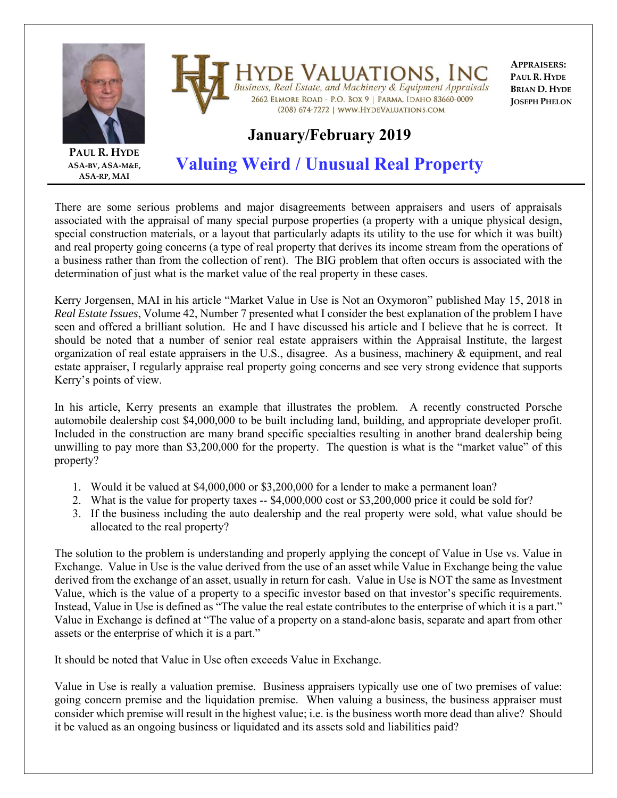

**HYDE VALUATIONS, INC**<br>Business, Real Estate, and Machinery & Equipment Appraisals 2662 ELMORE ROAD - P.O. BOX 9 | PARMA, IDAHO 83660-0009 (208) 674-7272 | WWW.HYDEVALUATIONS.COM

**APPRAISERS: PAUL R. HYDE BRIAN D. HYDE JOSEPH PHELON**

## **January/February 2019**

**PAUL R. HYDE ASA‐BV, ASA‐M&E, ASA‐RP, MAI**

## **Valuing Weird / Unusual Real Property**

There are some serious problems and major disagreements between appraisers and users of appraisals associated with the appraisal of many special purpose properties (a property with a unique physical design, special construction materials, or a layout that particularly adapts its utility to the use for which it was built) and real property going concerns (a type of real property that derives its income stream from the operations of a business rather than from the collection of rent). The BIG problem that often occurs is associated with the determination of just what is the market value of the real property in these cases.

Kerry Jorgensen, MAI in his article "Market Value in Use is Not an Oxymoron" published May 15, 2018 in *Real Estate Issues*, Volume 42, Number 7 presented what I consider the best explanation of the problem I have seen and offered a brilliant solution. He and I have discussed his article and I believe that he is correct. It should be noted that a number of senior real estate appraisers within the Appraisal Institute, the largest organization of real estate appraisers in the U.S., disagree. As a business, machinery & equipment, and real estate appraiser, I regularly appraise real property going concerns and see very strong evidence that supports Kerry's points of view.

In his article, Kerry presents an example that illustrates the problem. A recently constructed Porsche automobile dealership cost \$4,000,000 to be built including land, building, and appropriate developer profit. Included in the construction are many brand specific specialties resulting in another brand dealership being unwilling to pay more than \$3,200,000 for the property. The question is what is the "market value" of this property?

- 1. Would it be valued at \$4,000,000 or \$3,200,000 for a lender to make a permanent loan?
- 2. What is the value for property taxes -- \$4,000,000 cost or \$3,200,000 price it could be sold for?
- 3. If the business including the auto dealership and the real property were sold, what value should be allocated to the real property?

The solution to the problem is understanding and properly applying the concept of Value in Use vs. Value in Exchange. Value in Use is the value derived from the use of an asset while Value in Exchange being the value derived from the exchange of an asset, usually in return for cash. Value in Use is NOT the same as Investment Value, which is the value of a property to a specific investor based on that investor's specific requirements. Instead, Value in Use is defined as "The value the real estate contributes to the enterprise of which it is a part." Value in Exchange is defined at "The value of a property on a stand-alone basis, separate and apart from other assets or the enterprise of which it is a part."

It should be noted that Value in Use often exceeds Value in Exchange.

Value in Use is really a valuation premise. Business appraisers typically use one of two premises of value: going concern premise and the liquidation premise. When valuing a business, the business appraiser must consider which premise will result in the highest value; i.e. is the business worth more dead than alive? Should it be valued as an ongoing business or liquidated and its assets sold and liabilities paid?